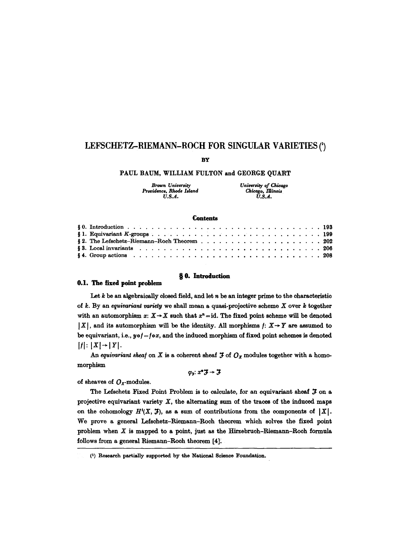# **LEFSCHETZ--RIEMANN-ROCH FOR SINGULAR VARIETIES**

**BY** 

## PAUL BAUM, WILLIAM FULTON and GEORGE QUART

| Brown University         | University of Chicago |
|--------------------------|-----------------------|
| Providence, Rhode Island | Chicago, Illinois     |
| U.S.A.                   | U.S.A.                |

#### **Contents**

| § 2. The Lefschetz-Riemann-Roch Theorem $\ldots$ 202 |
|------------------------------------------------------|
|                                                      |
|                                                      |

# w 0. **Introduction**

#### **0.1. The fixed point problem**

Let  $k$  be an algebraically closed field, and let  $n$  be an integer prime to the characteristic of k. By an *equivariant variety* we shall mean a quasi-projective scheme X over k together with an automorphism  $x: X \to X$  such that  $x^n = id$ . The fixed point scheme will be denoted  $|X|$ , and its automorphism will be the identity. All morphisms  $f: X \rightarrow Y$  are assumed to be equivariant, i.e.,  $y \circ f = f \circ x$ , and the induced morphism of fixed point schemes is denoted  $|f|: |X| \rightarrow |Y|.$ 

An equivariant sheaf on  $X$  is a coherent sheaf  $\mathfrak{F}$  of  $O_x$  modules together with a homomorphism

 $\varphi_2$ :  $x^* \mathcal{F} \rightarrow \mathcal{F}$ 

of sheaves of  $O_x$ -modules.

The Lefschetz Fixed Point Problem is to calculate, for an equivariant sheaf  $J$  on a projective equivariant variety  $X$ , the alternating sum of the traces of the induced maps on the cohomology  $H^{i}(X, \mathcal{F})$ , as a sum of contributions from the components of  $|X|$ . We prove a general Lefschetz-Riemann-Roch theorem which solves the fixed point problem when  $X$  is mapped to a point, just as the Hirzebruch-Riemann-Roch formula follows from a general Riemann-Roch theorem [4];.

<sup>(1)</sup> Research partially supported by the National Science Foundation.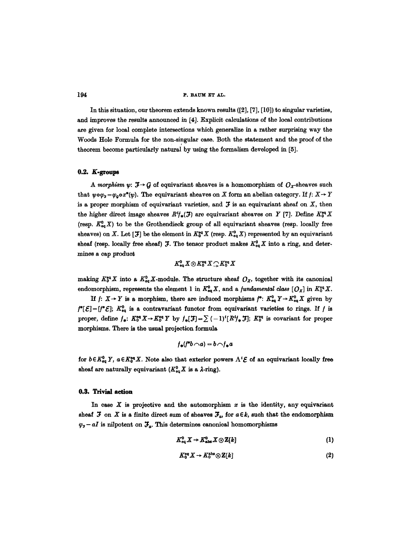In this situation, our theorem extends known results ([2], [7], [10]) to singular varieties, and improves the results announced in [4]. Explicit calculations of the local contributions are given for local complete intersections which generalize in a rather surprising way the Woods Hole Formula for the non-singular case. Both the statement and the proof of the theorem become particularIy natural by using the formalism developed in [5].

# 0.2. K-groups

A morphism  $\psi: \mathcal{F} \rightarrow G$  of equivariant sheaves is a homomorphism of  $O_x$ -sheaves such that  $w \circ \varphi_z = \varphi_o \circ x^*(\psi)$ . The equivariant sheaves on X form an abelian category. If  $f: X \to Y$ is a proper morphism of equivariant varieties, and  $J$  is an equivariant sheaf on  $X$ , then the higher direct image sheaves  $R^i{f_*}(\mathcal{F})$  are equivariant sheaves on Y [7]. Define  $K_0^{eq}X$ (resp.  $K_{eq}^0(X)$  to be the Grothendieck group of all equivariant sheaves (resp. locally free sheaves) on X. Let [ $\mathfrak{F}$ ] be the element in  $K^{eq}_0 X$  (resp,  $K^{0}_{eq} X$ ) represented by an equivariant sheaf (resp. locally free sheaf)  $J$ . The tensor product makes  $K^{0}_{eq}X$  into a ring, and determines a cap product

 $K^0_{\rm eq} X\otimes K^{\rm eq}_0 X\bigcirc K^{\rm eq}_0 X$ 

making  $K_0^{\text{eq}} X$  into a  $K_{\text{eq}}^0 X$ -module. The structure sheaf  $O_X$ , together with its canonical endomorphism, represents the element 1 in  $K^0_{eq}X$ , and a *fundamental class*  $[O_X]$  in  $K^{\text{eq}}_0X$ .

If  $f: X \to Y$  is a morphism, there are induced morphisms  $f^*: K^0_{eq} Y \to K^0_{eq} X$  given by  $f^*[\mathcal{E}]=[f^*\mathcal{E}];$   $K_{eq}^0$  is a contravariant functor from equivariant varieties to rings. If f is proper, define  $f_*$ :  $K_0^{eq}X \to K_0^{eq}Y$  by  $f_*[J]=\sum_{\alpha} (-1)^{\alpha} [R^{\alpha}f_*J]; K_0^{eq}$  is covariant for proper morphisms. There is the usual projection formula

$$
f_*(f^*b \cap a) = b \cap f_*a
$$

for  $b \in K^0_{eq} Y$ ,  $a \in K^{\text{eq}}_0 X$ . Note also that exterior powers  $\Lambda^i \mathcal{E}$  of an equivariant locally free sheaf are naturally equivariant  $(K^0_{eq}X$  is a  $\lambda$ -ring).

## 0.B. Trivial action

In case  $X$  is projective and the automorphism  $x$  is the identity, any equivariant sheaf  $\mathfrak F$  on  $X$  is a finite direct sum of sheaves  $\mathfrak X_a$ , for  $a \in k$ , such that the endomorphism  $\varphi_5-aI$  is nilpotent on  $\mathfrak{F}_a$ . This determines canonical homomorphisms

$$
K_{\text{eq}}^0 X \to K_{\text{abs}}^0 X \otimes \mathbb{Z}[k] \tag{1}
$$

$$
K_0^{\text{eq}} X \to K_0^{\text{abs}} \otimes \mathbb{Z}[k] \tag{2}
$$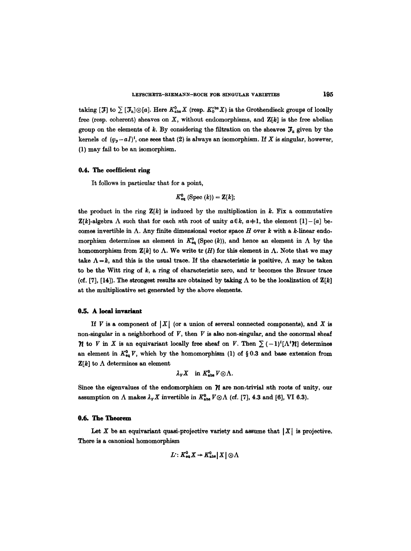taking  $[~\mathcal{F}]$  to  $\sum [\mathcal{F}_a]\otimes[a]$ . Here  $K^0_{\text{abs}}X$  (resp.  $K^{\text{obs}}_0X$ ) is the Grothendieck groups of locally free (resp. coherent) sheaves on  $X$ , without endomorphisms, and  $Z[k]$  is the free abelian group on the elements of k. By considering the filtration on the sheaves  $J_a$  given by the kernels of  $(\varphi_{\pi}-aI)^{i}$ , one sees that (2) is always an isomorphism. If X is singular, however, (1) may fail to be an isomorphism.

### 0.4. The coefficient ring

It follows in particular that for a point,

$$
K^0_{\text{eq}} \text{ (Spec }(k)) = \mathbf{Z}[k];
$$

the product in the ring  $\mathbf{Z}[k]$  is induced by the multiplication in k. Fix a commutative  $\mathbb{Z}[k]$ -algebra  $\Lambda$  such that for each nth root of unity  $a \in k$ ,  $a+1$ , the element  $[1] - [a]$  becomes invertible in  $\Lambda$ . Any finite dimensional vector space H over k with a k-linear endomorphism determines an element in  $K_{eq}^0$  (Spec (k)), and hence an element in  $\Lambda$  by the homomorphism from  $\mathbf{Z}[k]$  to  $\Lambda$ . We write tr (H) for this element in  $\Lambda$ . Note that we may take  $\Lambda = k$ , and this is the usual trace. If the characteristic is positive,  $\Lambda$  may be taken to be the Witt ring of  $k$ , a ring of characteristic zero, and tr becomes the Brauer trace (cf. [7], [14]). The strongest results are obtained by taking  $\Lambda$  to be the localization of  $\mathbf{Z}[k]$ at the multiplicative set generated by the above elements.

## 0.5. A local invariant

If V is a component of  $|X|$  (or a union of several connected components), and X is non-singular in a neighborhood of  $V$ , then  $V$  is also non-singular, and the conormal sheaf *n* to *V* in *X* is an equivariant locally free sheaf on *V*. Then  $\sum (-1)^i [\Lambda' \mathcal{H}]$  determines an element in  $K^0_{eq}$  V, which by the homomorphism (1) of § 0.3 and base extension from  $\mathbf{Z}[k]$  to  $\Lambda$  determines an element

$$
\lambda_{V} X \quad \text{in } K^{0}_{\text{abs}} V \otimes \Lambda.
$$

Since the eigenvalues of the endomorphism on  $\mathcal{U}$  are non-trivial nth roots of unity, our assumption on  $\Lambda$  makes  $\lambda_V X$  invertible in  $K_{\text{abs}}^0 V \otimes \Lambda$  (cf. [7], 4.3 and [6], VI 6.3).

## **0.6,** The Theorem

Let X be an equivariant quasi-projective variety and assume that  $|X|$  is projective. There is a canonical homomorphism

$$
L: K_{\tt eq}^0 X \to K_{\tt abs}^0 X \,|\, X \,|\otimes \Lambda
$$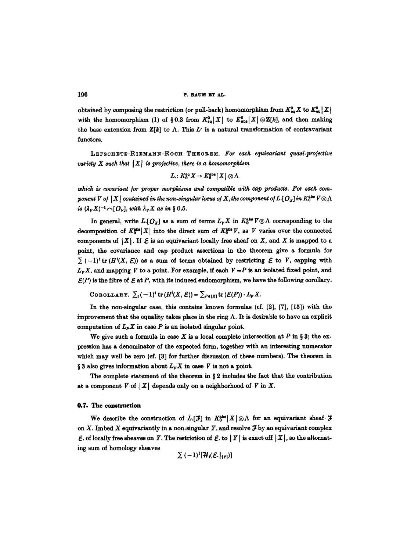obtained by composing the restriction (or pull-back) homomorphism from  $K_{eq}^0 X$  to  $K_{eq}^0 X$ } with the homomorphism (1) of § 0.3 from  $K_{eq}^0[X]$  to  $K_{abs}^0[X] \otimes \mathbb{Z}[k]$ , and then making the base extension from  $\mathbf{Z}[k]$  to  $\Lambda$ . This  $L^r$  is a natural transformation of contravariant functors.

LEFSCHETZ-RIEMANN-ROCH THEOREM. For each equivariant quasi-projective *variety*  $X$  such that  $|X|$  is projective, there is a homomorphism

$$
L: K_0^{\text{eq}} X \to K_0^{\text{abs}} | X | \otimes \Lambda
$$

which is covariant for proper morphisms and compatible with cap products. For each com*ponent V of*  $|X|$  contained in the non-singular locus of X, the component of L.[ $O_x$ ] in  $K_0^{\text{abs}} V \otimes \Lambda$ *is*  $(\lambda_v X)^{-1} \cap [O_v]$ , with  $\lambda_v X$  as in § 0.5.

In general, write  $L[O_X]$  as a sum of terms  $L_VX$  in  $K_0^{abs} V \otimes \Lambda$  corresponding to the decomposition of  $K_0^{\text{abs}}[X]$  into the direct sum of  $K_0^{\text{abs}}V$ , as V varies over the connected components of  $|X|$ . If  $\mathcal E$  is an equivariant locally free sheaf on X, and X is mapped to a point, the covariance and cap product assertions in the theorem give a formula for  $\sum (-1)^t$  tr  $(H^i(X, \mathcal{E}))$  as a sum of terms obtained by restricting  $\mathcal{E}$  to V, capping with  $L_v X$ , and mapping V to a point. For example, if each  $V = P$  is an isolated fixed point, and  $\mathcal{E}(P)$  is the fibre of  $\mathcal E$  at  $P$ , with its induced endomorphism, we have the following corollary.

COROLLARY.  $\sum_i (-1)^i \text{tr} (H^i(X,\mathcal{E})) = \sum_{P \in [X]} \text{tr} (\mathcal{E}(P)) \cdot L_P X$ .

In the non-singular case, this contains known formulas (cf. [2], [7], [15]) with the improvement that the equality takes place in the ring  $\Lambda$ . It is desirable to have an explicit computation of  $L_p X$  in case  $P$  is an isolated singular point.

We give such a formula in case X is a local complete intersection at P in § 3; the expression has a denominator of the expected form, together with an interesting numerator which may well be zero (cf. [3] for further discussion of these numbers). The theorem in § 3 also gives information about  $L_Y X$  in case V is not a point.

The complete statement of the theorem in  $\S 2$  includes the fact that the contribution at a component  $V$  of  $|X|$  depends only on a neighborhood of  $V$  in  $X$ .

#### **0.7. The construction**

We describe the construction of  $L[[\mathcal{F}]]$  in  $K_0^{\text{abs}}[X]\otimes\Lambda$  for an equivariant sheaf  $\mathcal F$ on X. Imbed X equivariantly in a non-singular Y, and resolve  $\mathcal{F}$  by an equivariant complex  $\mathcal E$ . of locally free sheaves on Y. The restriction of  $\mathcal E$ . to | Y| is exact off  $|X|$ , so the alternating sum of homology sheaves

 $\sum (-1)^{i} [\mathcal{H}_{i}(\mathcal{E},|_{|Y|})]$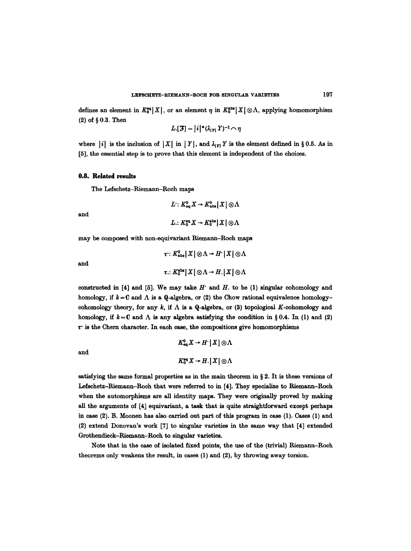defines an element in  $K_0^{\circ q} |X|$ , or an element  $\eta$  in  $K_0^{\text{abs}} |X| \otimes \Lambda$ , applying homomorphism  $(2)$  of § 0.3. Then

$$
L[\mathcal{F}] = |i|^*(\lambda_{|Y|}Y)^{-1} \cap \eta
$$

where  $|i|$  is the inclusion of  $|X|$  in  $|Y|$ , and  $\lambda_{|Y|} Y$  is the element defined in § 0.5. As in [5], the essential step is to prove that this element is independent of the choices.

#### **0.8. Related results**

The Lefschetz-Riemann-Roch maps

$$
L: K_{\text{eq}}^0 X \to K_{\text{abs}}^0 | X | \otimes \Lambda
$$
  

$$
L: V_{\text{eq}} V \to V_{\text{abs}} | V | \otimes \Lambda
$$

and

$$
L\colon \mathbf{V}^0 \to \mathbf{V}^0
$$

may be composed with non-equivariant Riemann-Roch maps

$$
\tau: K_{\text{abs}}^0 | X | \otimes \Lambda \to H^* | X | \otimes \Lambda
$$
  

$$
\tau: K_{0}^{\text{abs}} | X | \otimes \Lambda \to H^* | X | \otimes \Lambda
$$

and

constructed in [4] and [5]. We may take  $H$  and  $H$ . to be (1) singular cohomology and homology, if  $k = 0$  and  $\Lambda$  is a Q-algebra, or (2) the Chow rational equivalence homologycohomology theory, for any  $k$ , if  $\Lambda$  is a Q-algebra, or (3) topological K-cohomology and homology, if  $k = 0$  and  $\Lambda$  is any algebra satisfying the condition in §0.4. In (1) and (2)  $\tau$  is the Chern character. In each case, the compositions give homomorphisms

and

$$
K_{\text{eq}}^{0} X \to H^{\ast} | X | \otimes \Lambda
$$
  

$$
K_{0}^{\text{eq}} X \to H. | X | \otimes \Lambda
$$

satisfying the same formal properties as in the main theorem in  $\S 2$ . It is these versions of Lefschetz-Riemann-Roch that were referred to in [4]. They specialize to Riemann-Roch when the automorphisms are all identity maps. They were originally proved by making all the arguments of [4] equivariant, a task that is quite straightforward except perhaps in case (2). B. Moonen has also carried out part of this program in case (1). Cases (1) and (2) extend Donovan's work [7] to singular varieties in the same way that [4] extended Grothendieck-Riemann-Roch to singular varieties.

Note that in the ease of isolated fixed points, the use of the (trivial) Riemann-Roch theorems only weakens the result, in cases (1) and (2), by throwing away torsion.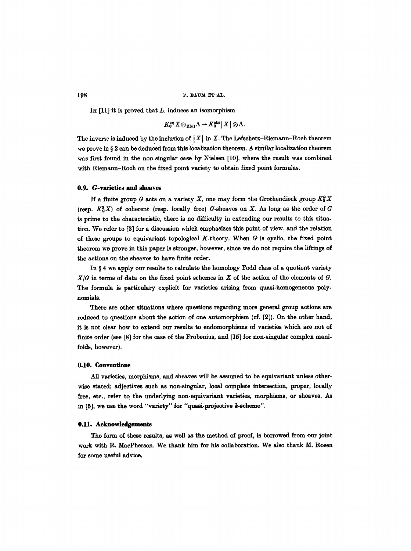In  $[11]$  it is proved that L. induces an isomorphism

$$
K_0^{\text{eq}} X \otimes_{\mathbb{Z}{k_1}} \Lambda \to K_0^{\text{abs}} |X| \otimes \Lambda.
$$

The inverse is induced by the inclusion of  $|X|$  in X. The Lefschetz-Riemann-Roch theorem we prove in § 2 can be deduced from this localization theorem. A similar localization theorem was first found in the non-singular case by Nielsen [i0], where the result was combined with Riemann-Roch on the fixed point variety to obtain fixed point formulas.

#### **0.9. G-varieties and sheaves**

If a finite group G acts on a variety X, one may form the Grothendieck group  $K_0^G X$ (resp.  $K^o_{\alpha}X$ ) of coherent (resp. locally free) G-sheaves on X. As long as the order of G is prime to the characteristic, there is no difficulty in extending our results to this situation. We refer to [3] for a discussion which emphasizes this point of view, and the relation of these groups to equivariant topological  $K$ -theory. When  $G$  is cyclic, the fixed point theorem we prove in this paper is stronger, however, since we do not require the liftings of the actions on the sheaves to have finite order.

In  $\S 4$  we apply our results to calculate the homology Todd class of a quotient variety  $X/G$  in terms of data on the fixed point schemes in X of the action of the elements of  $G$ . The formula is particulary explicit for varieties arising from quasi-homogeneous polynomials.

There are other situations where questions regarding more general group actions are reduced to questions about the action of one automorphism (cf. [2]). On the other hand, it is not clear how to extend our results to endomorphisms of varieties which are not of finite order (see [8] for the case of the Frobenius, and [15] for non-singular complex manifolds, however).

#### **0.10. Conventions**

All varieties, morphisms, and sheaves will be assumed to be equivariant unless otherwise stated; adjectives such as non-singular, local complete intersection, proper, locally free, etc., refer to the underlying non.equivariant varieties, morphisms, or sheaves. As in [5], we use the word "variety" for "quasi-projective k-scheme".

#### **0.11. Acknowledgements**

The form of these results, as well as the method of proof, is borrowed from our joint work with R. MaePherson. We thank him for his collaboration. We also thank M. Rosen for some useful advice.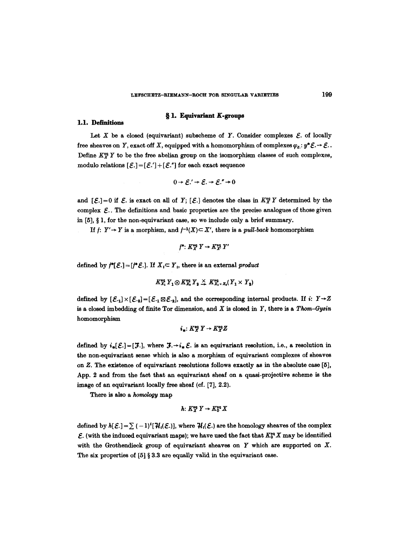# § 1. Equivariant K-groups

#### 1.1. Definitions

Let X be a closed (equivariant) subscheme of Y. Consider complexes  $\mathcal E$  of locally free sheaves on Y, exact off X, equipped with a homomorphism of complexes  $\varphi_{\varepsilon}: y^*\mathcal{E} \to \mathcal{E}$ .. Define  $K^{\omega}_{Y}$  Y to be the free abelian group on the isomorphism classes of such complexes, modulo relations  $[\mathcal{E} .] = [\mathcal{E} .'] + [\mathcal{E} .'']$  for each exact sequence

$$
0\to \mathcal{E}.\prime\to \mathcal{E}.\to \mathcal{E}.\prime\to 0
$$

and  $[{\mathcal{E}}] = 0$  if  ${\mathcal{E}}$  is exact on all of Y;  $[{\mathcal{E}}]$  denotes the class in  $K^{\alpha}_{X}$  Y determined by the complex  $\mathcal{E}$ . The definitions and basic properties are the precise analogues of those given in  $[5]$ ,  $\S$  1, for the non-equivariant case, so we include only a brief summary.

If  $f: Y' \rightarrow Y$  is a morphism, and  $f^{-1}(X) \subseteq X'$ , there is a *pull-back* homomorphism

$$
f^*\colon K_X^{\text{eq}} Y \to K_X^{\text{eq}} Y'
$$

defined by  $f^*[\mathcal{E} .] = [f^* \mathcal{E} .]$ . If  $X_i \subset Y_i$ , there is an external product

$$
K_{X_1}^{\text{eq}} Y_1 \otimes K_{X_2}^{\text{eq}} Y_2 \overset{\times}{\to} K_{X_1 \times X_2}^{\text{eq}} (Y_1 \times Y_2)
$$

defined by  $[\mathcal{E}_1] \times [\mathcal{E}_2] = [\mathcal{E}_1 \boxtimes \mathcal{E}_2]$ , and the corresponding internal products. If i:  $Y \rightarrow Z$ is a closed imbedding of finite Tor dimension, and  $X$  is closed in  $Y$ , there is a Thom-Gysin homomorphism

$$
i_*: K_X^{\rm eq} Y \to K_X^{\rm eq} Z
$$

defined by  $i_*[E.]=[\mathcal{F}.]$ , where  $\mathcal{F}.\rightarrow i_*\mathcal{E}$  is an equivariant resolution, i.e., a resolution in the non-equivariant sense which is also a morphism of equivariant complexes of sheaves on Z. The existence of equivariant resolutions follows exactly as in the absolute case [5], App. 2 and from the fact that an equivariant sheaf on a quasi-projective scheme is the image of an equivariant locally free sheaf (cf. [7], 2.2).

There is also a *homology* map

$$
h\colon K_X^{\mathrm{eq}} Y\to K_0^{\mathrm{eq}} X
$$

defined by  $h[E.]=\sum_{ }(-1)^{i}[\mathcal{H}_{i}(\mathcal{E})]$ , where  $\mathcal{H}_{i}(\mathcal{E})$  are the homology sheaves of the complex  $\mathcal{E}.$  (with the induced equivariant maps); we have used the fact that  $K_0^{eq}X$  may be identified with the Grothendieck group of equivariant sheaves on  $Y$  which are supported on  $X$ . The six properties of  $[5] \S 3.3$  are equally valid in the equivariant case.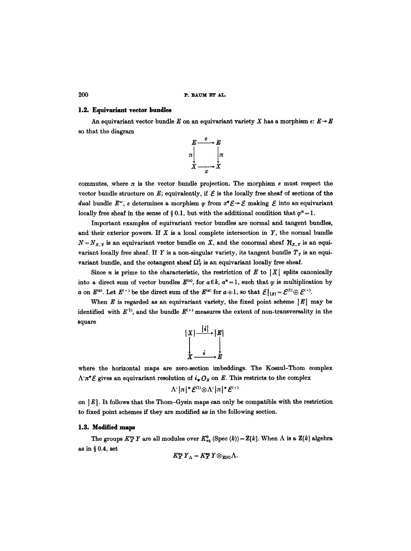### 1.2. Equivariant vector bundles

An equivariant vector bundle E on an equivariant variety X has a morphism  $e: E \rightarrow E$ so that the diagram



commutes, where  $\pi$  is the vector bundle projection. The morphism e must respect the vector bundle structure on E; equivalently, if  $\mathcal E$  is the locally free sheaf of sections of the *dual* bundle  $E^{\vee}$ , e determines a morphism  $\varphi$  from  $x^* \mathcal{E} \to \mathcal{E}$  making  $\mathcal{E}$  into an equivariant locally free sheaf in the sense of §0.1, but with the additional condition that  $\varphi^{n}=1$ .

Important examples of equivariant vector bundles are normal and tangent bundles, and their exterior powers. If  $X$  is a local complete intersection in  $Y$ , the normal bundle  $N = N_{X,Y}$  is an equivariant vector bundle on X, and the conormal sheaf  $\mathcal{H}_{X,Y}$  is an equivariant locally free sheaf. If Y is a non-singular variety, its tangent bundle  $T<sub>y</sub>$  is an equivariant bundle, and the cotangent sheaf  $\Omega^1_Y$  is an equivariant locally free sheaf.

Since *n* is prime to the characteristic, the restriction of  $E$  to  $|X|$  splits canonically into a direct sum of vector bundles  $E^{(a)}$ , for  $a \in k$ ,  $a^n = 1$ , such that  $\varphi$  is multiplication by a on  $E^{(a)}$ . Let  $E^{(\times)}$  be the direct sum of the  $E^{(a)}$  for  $a+1$ , so that  $\mathcal{E}|_{|X|} = \mathcal{E}^{(1)} \oplus \mathcal{E}^{(\times)}$ .

When  $E$  is regarded as an equivariant variety, the fixed point scheme  $|E|$  may be identified with  $E^{(1)}$ , and the bundle  $E^{(*)}$  measures the extent of non-transversality in the square

$$
\begin{array}{c}\n|X| \xrightarrow{\quad |i| \rightarrow |E| \\
} \downarrow \downarrow \downarrow \\
X \xrightarrow{\quad i \quad E}\n\end{array}
$$

where the horizontal maps are zero-section imbeddings. The Koszul-Thom complex  $\Lambda \pi^* \mathcal{E}$  gives an equivariant resolution of  $i_* O_X$  on E. This restricts to the complex

$$
||\Lambda||\pi|^* \mathcal{E}^{(1)} \otimes \Lambda^* |\pi|^* \mathcal{E}^{(1)}
$$

on  $|E|$ . It follows that the Thom-Gysin maps can only be compatible with the restriction to fixed point schemes if they are modified as in the following section.

## **1.3. Modified maps**

The groups  $K^{\text{eq}}_X Y$  are all modules over  $K^0_{\text{eq}}$  (Spec  $(k)$ ) =  $\mathbb{Z}[k]$ . When  $\Lambda$  is a  $\mathbb{Z}[k]$  algebra as in  $§$  0.4, set

$$
K^{\rm eq}_X Y_{\Lambda} = K^{\rm eq}_X Y \otimes_{\mathbf{Z}[k]} \Lambda.
$$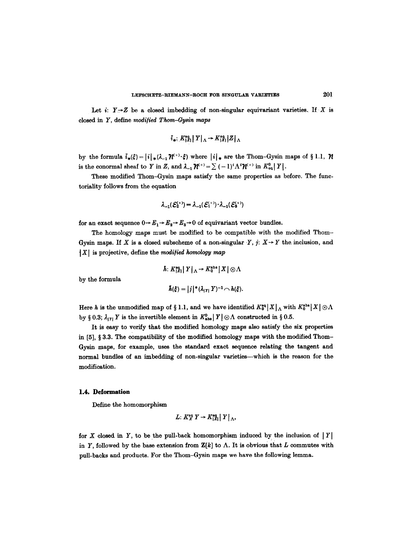Let i:  $Y \rightarrow Z$  be a closed imbedding of non-singular equivariant varieties. If X is closed in Y, define *modi/ied Thom-Gysin maps* 

$$
\tilde{i}_{\ast} : K^{\text{eq}}_{|X|} || Y ||_{\Lambda} \to K^{\text{eq}}_{|X|} ||Z||_{\Lambda}
$$

by the formula  $\tilde{i}_{*}(\xi) = |i|_{*} (\lambda_{-1} \mathcal{H}^{\vee}) \cdot \xi$  where  $|i|_{*}$  are the Thom-Gysin maps of § 1.1,  $\mathcal{H}$ is the conormal sheaf to Y in Z, and  $\lambda_{-1}\mathcal{U}^{(\times)} = \sum_{i=1}^{\infty} (-1)^i \Lambda^i \mathcal{U}^{(\times)}$  in  $K^0_{\text{eq}} | Y |$ .

These modified Thom-Gysin maps satisfy the same properties as before. The functoriality follows from the equation

$$
\lambda_{-1}(\mathcal{E}_2^{(\times)}) = \lambda_{-1}(\mathcal{E}_1^{(\times)}) \cdot \lambda_{-1}(\mathcal{E}_3^{(\times)})
$$

for an exact sequence  $0 \rightarrow E_1 \rightarrow E_2 \rightarrow E_3 \rightarrow 0$  of equivariant vector bundles.

The homology maps must be modified to be compatible with the modified Thom-Gysin maps. If X is a closed subscheme of a non-singular Y,  $j: X \rightarrow Y$  the inclusion, and  $|X|$  is projective, define the *modified homology map* 

$$
\hslash\colon K^{\tt eq}_{\{X\}}\big|\,Y\big|_\Lambda\to K^{\tt abs}_0\,\big|\,X\big|\otimes\Lambda
$$

by the formula

$$
\tilde{h}(\xi)=|j|^*(\lambda_{|Y|}Y)^{-1}\frown h(\xi).
$$

Here h is the unmodified map of § 1.1, and we have identified  $K_0^{eq} |X|_A$  with  $K_0^{abs} |X| \otimes \Lambda$ by § 0.3;  $\lambda_{|Y|}$  Y is the invertible element in  $K^0_{\text{abs}} | Y | \otimes \Lambda$  constructed in § 0.5.

It is easy to verify that the modified homology maps also satisfy the six properties in  $[5]$ , § 3.3. The compatibility of the modified homology maps with the modified Thom-Gysin maps, for example, uses the standard exact sequence relating the tangent and normal bundles of an imbedding of non-singular varieties--which is the reason for the modification.

#### **1.4. Deformation**

Define the homomorphism

$$
L: K_X^{\text{eq}} Y \to K_{|X|}^{\text{eq}} |Y|_{\Lambda},
$$

for X closed in Y, to be the pull-back homomorphism induced by the inclusion of  $|Y|$ in Y, followed by the base extension from  $\mathbf{Z}[k]$  to  $\Lambda$ . It is obvious that L commutes with pull-backs and products. For the Thom-Gysin maps we have the following lemma.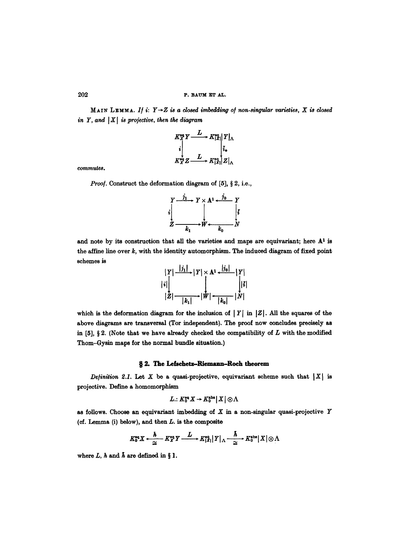MAIN LEMMA. If  $i: Y \rightarrow Z$  is a closed imbedding of non-singular varieties, X is closed *in Y, and*  $|X|$  *is projective, then the diagram* 

$$
K_X^{\text{eq}} Y \xrightarrow{L} K_{|X|}^{\text{eq}} |Y|_{\Lambda}
$$
  
\n
$$
K_X^{\text{eq}} Z \xrightarrow{L} K_{|X|}^{\text{eq}} |Z|_{\Lambda}
$$

commutes.

*Proof.* Construct the deformation diagram of [5], § 2, i.e.,

$$
\begin{array}{ccc}\nY & \xrightarrow{j_1} & Y \times A^1 \leftarrow \xrightarrow{j_0} & Y \\
\downarrow i & & & \downarrow \\
Z & \xrightarrow{k_1} & W \leftarrow k_0 & N\n\end{array}
$$

and note by its construction that all the varieties and maps are equivariant; here  $A<sup>1</sup>$  is the affine line over  $k$ , with the identity automorphism. The induced diagram of fixed point schemes is



which is the deformation diagram for the inclusion of  $|Y|$  in  $|Z|$ . All the squares of the above diagrams are transversal (Tor independent). The proof now concludes precisely as in [5], § 2. (Note that we have already checked the compatibility of  $L$  with the modified Thom-Gysin maps for the normal bundle situation.)

# § 2. The Lefschetz-Riemann-Roch theorem

*Definition 2.1.* Let X be a quasi-projective, equivariant scheme such that  $|X|$  is projective. Define a homomorphism

$$
L: K^{\tt eq}_0X\to K^{\tt abs}_0\|X\|\otimes \Lambda
$$

as follows. Choose an equivariant imbedding of  $X$  in a non-singular quasi-projective  $Y$ (cf. Lemma  $(i)$  below), and then  $L$ . is the composite

$$
K_0^{\text{eq}}X \xleftarrow{\hbar} K_0^{\text{eq}}Y \xrightarrow{L} K_{|X|}^{\text{eq}}|Y|_{\Lambda} \xrightarrow{\hbar} K_0^{\text{abs}}|X| \otimes \Lambda
$$

where  $L, h$  and  $h$  are defined in § 1.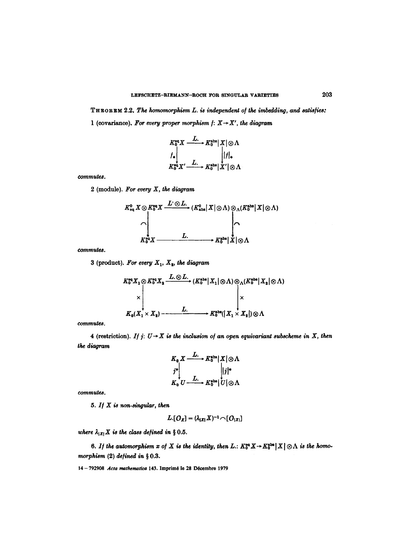THEOREM 2.2. *The homomorphism L. is independent of the imbedding, and satis/ies:*  1 (covariance). For every proper morphism  $f: X \rightarrow X'$ , the diagram

$$
K_0^{\text{eq}}X \xrightarrow{L} K_0^{\text{abs}} |X| \otimes \Lambda
$$
  

$$
f_* \downarrow \qquad \qquad |f|_*
$$
  

$$
K_0^{\text{eq}}X' \xrightarrow{L} K_0^{\text{abs}} |X'| \otimes \Lambda
$$

*commutes.* 

2 (module). *For every X, the diagram* 

$$
K_{\circ q}^{0} X \otimes K_{0}^{\circ q} X \xrightarrow{L^{2} \otimes L_{\circ}} (K_{\text{abs}}^{0} | X | \otimes \Lambda) \otimes_{\Lambda} (K_{0}^{\text{abs}} | X | \otimes \Lambda)
$$
  
\n
$$
\wedge \qquad \qquad \downarrow
$$
  
\n
$$
K_{0}^{\text{eq}} X \xrightarrow{L_{\circ}} K_{0}^{\text{abs}} | X | \otimes \Lambda
$$

*commute&* 

3 (product). For every  $X_1$ ,  $X_2$ , the diagram

$$
K_0^{\text{eq}} X_1 \otimes K_0^{\text{eq}} X_2 \xrightarrow{L. \otimes L.} (K_0^{\text{abs}} | X_1 | \otimes \Lambda) \otimes_{\Lambda} (K_0^{\text{abs}} | X_2 | \otimes \Lambda)
$$
  
\n
$$
\times \begin{vmatrix}\nL. & \downarrow \\
\times \\
K_0(X_1 \times X_2) & \downarrow \\
\hline\n\end{vmatrix} \times K_0^{\text{abs}} (| X_1 \times X_2 |) \otimes \Lambda
$$

*commutes.* 

4 (restriction). *If j:*  $U \rightarrow X$  is the inclusion of an open equivariant subscheme in X, then *the diagram* 

$$
K_0 X \xrightarrow{L} K_0^{\text{abs}} |X| \otimes \Lambda
$$
  
\n
$$
j^* | \qquad |j|^*
$$
  
\n
$$
K_0 U \xrightarrow{L} K_0^{\text{abs}} |U| \otimes \Lambda
$$

commutes.

 $5.$  *If*  $X$  is non-singular, then

$$
L[O_X]=(\lambda_{|X|}X)^{-1}\cap [O_{|X|}]
$$

*where*  $\lambda_{|X|} X$  *is the class defined in* § 0.5.

6. If the automorphism x of X is the identity, then L.:  $K_0^{eq}X \to K_0^{abs}X[] \otimes \Lambda$  is the homomorphism  $(2)$  defined in § 0.3.

14 -792908 *Acta nmthematica* 143. Imprim6 Io 28 D6cembro 1979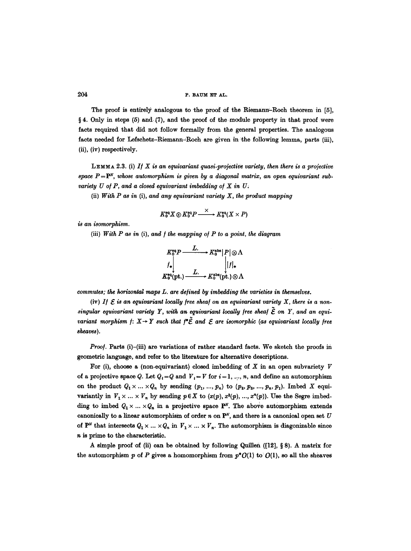The proof is entirely analogous to the proof of the Riemann–Roch theorem in [5],  $§ 4.$  Only in steps (5) and (7), and the proof of the module property in that, proof were facts required that did not follow formally from the general properties. The analogous facts needed for Lefschetz-Riemann-Roch are given in the following lemma, parts (iii), (ii), (iv) respectively.

LEMMA 2.3. (i) If  $X$  is an equivariant quasi-projective variety, then there is a projective space  $P = P^N$ , whose automorphism is given by a diagonal matrix, an open equivariant sub*variety U of P, and a closed equivariant imbedding of X in U.* 

(ii) *With P as in* (i), *and any equivariant variety X, the product mapping* 

$$
K_0^{\text{eq}} X \otimes K_0^{\text{eq}} P \xrightarrow{\times} K_0^{\text{eq}} (X \times P)
$$

*is an isomorphism.* 

(iii) With P as in (i), and f the mapping of P to a point, the diagram

$$
K_0^{\text{eq}}P \xrightarrow{L.} K_0^{\text{abs}}|P| \otimes \Lambda
$$
  
\n $f_*\Big| \qquad |f|_*$   
\n $K_0^{\text{eq}}(\text{pt.}) \xrightarrow{L.} K_0^{\text{abs}}(\text{pt.}) \otimes \Lambda$ 

*commutes; the horizontal maps L. are defined by imbedding the varieties in themselves.* 

(iv) If  $\mathcal E$  is an equivariant locally free sheaf on an equivariant variety  $X$ , there is a non $singular$  equivariant variety Y, with an equivariant locally free sheaf  $\tilde{\mathcal{E}}$  on Y, and an equi*variant morphism*  $f: X \rightarrow Y$  *such that*  $f^* \tilde{\mathcal{E}}$  and  $\mathcal{E}$  are isomorphic (as equivariant locally free *sheaves).* 

*Proof.* Parts (i)-(iii) are variations of rather standard facts. We sketch the proofs in geometric language, and refer to the literature for alternative descriptions.

For (i), choose a (non-equivariant) closed imbedding of  $X$  in an open subvariety  $V$ of a projective space Q. Let  $Q_i = Q$  and  $V_i = V$  for  $i = 1, ..., n$ , and define an automorphism on the product  $Q_1 \times \ldots \times Q_n$  by sending  $(p_1, ..., p_n)$  to  $(p_2, p_3, ..., p_n, p_1)$ . Imbed X equivariantly in  $V_1 \times ... \times V_n$  by sending  $p \in X$  to  $(x(p), x^2(p), ..., x^n(p))$ . Use the Segre imbedding to imbed  $Q_1 \times ... \times Q_n$  in a projective space P<sup>N</sup>. The above automorphism extends canonically to a linear automorphism of order n on  $\mathbb{P}^N$ , and there is a canonical open set U of  $\mathbf{P}^N$  that intersects  $Q_1 \times ... \times Q_n$  in  $V_1 \times ... \times V_n$ . The automorphism is diagonizable since n is prime to the characteristic.

A simple proof of (ii) can be obtained by following Quillen ( $[12]$ , § 8). A matrix for the automorphism p of P gives a homomorphism from  $p^*O(1)$  to  $O(1)$ , so all the sheaves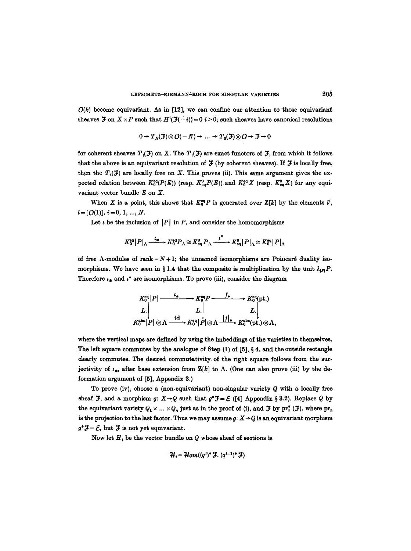$O(k)$  become equivariant. As in [12], we can confine our attention to those equivariant sheaves  $\mathfrak{F}$  on  $X \times P$  such that  $H^{i}(\mathfrak{F}(-i))=0$  is  $i > 0$ ; such sheaves have canonical resolutions

$$
0 \to T_{N}(\mathcal{F}) \otimes \mathcal{O}(-N) \to \ldots \to T_{0}(\mathcal{F}) \otimes \mathcal{O} \to \mathcal{F} \to 0
$$

for coherent sheaves  $T<sub>i</sub>(\mathcal{F})$  on X. The  $T<sub>i</sub>(\mathcal{F})$  are exact functors of  $\mathcal{F}$ , from which it follows that the above is an equivariant resolution of  $J$  (by coherent sheaves). If  $J$  is locally free, then the  $T<sub>i</sub>(J)$  are locally free on X. This proves (ii), This same argument gives the expected relation between  $K_0^{eq}(P(E))$  (resp.  $K_{eq}^0P(E)$ ) and  $K_0^{eq}X$  (resp.  $K_{eq}^0X$ ) for any equivariant vector bundle E on X.

When X is a point, this shows that  $K_0^{\text{eq}}P$  is generated over  $\mathbb{Z}[k]$  by the elements  $l^i$ ,  $l=[Q(1)], i=0, 1, ..., N.$ 

Let  $\iota$  be the inclusion of |P| in P, and consider the homomorphisms

$$
K_0^{\text{eq}}|P|_{\Lambda} \xrightarrow{\iota_*} K_0^{\text{eq}}P_{\Lambda} \simeq K_{\text{eq}}^0 P_{\Lambda} \xrightarrow{\iota^*} K_{\text{eq}}^0|P|_{\Lambda} \simeq K_0^{\text{eq}}|P|_{\Lambda}
$$

of free  $\Lambda$ -modules of rank =  $N+1$ ; the unnamed isomorphisms are Poincaré duality isomorphisms. We have seen in § 1.4 that the composite is multiplication by the unit  $\lambda_{\text{LP}}P$ . Therefore  $\iota_*$  and  $\iota^*$  are isomorphisms. To prove (iii), consider the diagram

$$
K_0^{\text{eq}}|P| \xrightarrow{\iota_{\text{4}}} K_0^{\text{eq}}P \xrightarrow{f_{\text{4}}} K_0^{\text{eq}}(pt.)
$$
  
\n
$$
L \downarrow L \downarrow L
$$
  
\n
$$
K_0^{\text{abs}}|P| \otimes \Lambda \xrightarrow{\text{id}} K_0^{\text{eq}}|P| \otimes \Lambda \xrightarrow{|f|_{\text{4}}} K_0^{\text{abs}}(pt.) \otimes \Lambda,
$$

where the vertical maps are defined by using the imbeddings of the varieties in themselves. The left square commutes by the analogue of Step  $(1)$  of  $[5]$ , § 4, and the outside rectangle clearly commutes. The desired commutativity of the right square follows from the surjectivity of  $\iota_*$ , after base extension from  $\mathbb{Z}[k]$  to  $\Lambda$ . (One can also prove (iii) by the deformation argument of [5], Appendix 3.)

To prove (iv), choose a (non-equivariant) non-singular variety Q with a locally free sheaf  $\mathcal{F}$ , and a morphism  $g: X \rightarrow Q$  such that  $g^* \mathcal{F} = \mathcal{E}$  ([4] Appendix § 3.2). Replace Q by the equivariant variety  $Q_1 \times ... \times Q_n$  just as in the proof of (i), and  $\mathcal F$  by  $\mathrm{pr}_n^*$  ( $\mathcal F$ ), where  $\mathrm{pr}_n$ is the projection to the last factor. Thus we may assume  $g: X \rightarrow Q$  is an equivariant morphism  $g^* \mathcal{F} = \mathcal{E}$ , but  $\mathcal F$  is not yet equivariant.

Now let  $H_t$  be the vector bundle on Q whose sheaf of sections is

$$
\mathcal{H}_i = \mathcal{H}om((q^i)^* \mathcal{F}, (q^{i-1})^* \mathcal{F})
$$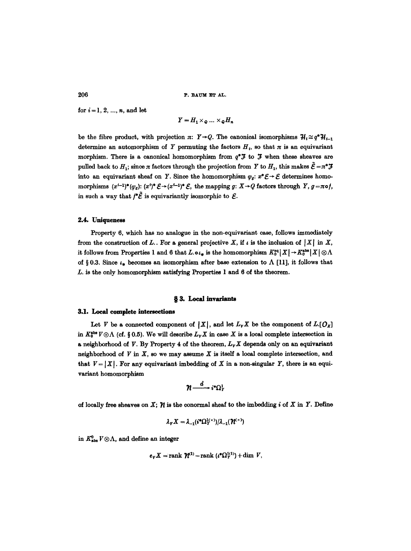for  $i = 1, 2, ..., n$ , and let

$$
Y = H_1 \times_Q \dots \times_Q H_n
$$

be the fibre product, with projection  $\pi: Y \rightarrow Q$ . The canonical isomorphisms  $\mathcal{H}_i \cong q^* \mathcal{H}_{i-1}$ determine an automorphism of Y permuting the factors  $H_t$ , so that  $\pi$  is an equivariant morphism. There is a canonical homomorphism from  $q^* \mathcal{F}$  to  $\mathcal{F}$  when these sheaves are pulled back to  $H_1$ ; since  $\pi$  factors through the projection from Y to  $H_1$ , this makes  $\tilde{\mathcal{E}} = \pi^* \mathcal{F}$ into an equivariant sheaf on Y. Since the homomorphism  $\varphi_s$ :  $x^* \mathcal{E} \to \mathcal{E}$  determines homomorphisms  $(x^{i-1})^*(\varphi_{\varepsilon})$ :  $(x^i)^* \mathcal{E} \to (x^{i-1})^* \mathcal{E}$ , the mapping  $g: X \to Q$  factors through Y,  $g = \pi \circ f$ , in such a way that  $f^*\tilde{\mathcal{E}}$  is equivariantly isomorphic to  $\mathcal{E}$ .

# 2.4. Uniqueness

Property 6, which has no analogue in the non-equivariant case, follows immediately from the construction of L.. For a general projective X, if  $\iota$  is the inclusion of  $|X|$  in X, it follows from Properties 1 and 6 that  $L \cdot \mathfrak{0}_{*}$  is the homomorphism  $K_0^{\text{eq}} | X | \rightarrow K_0^{\text{abs}} | X | \otimes \Lambda$ of § 0.3. Since  $\iota_*$  becomes an isomorphism after base extension to  $\Lambda$  [11], it follows that L. is the only homomorphism satisfying Properties 1 and 6 of the theorem.

### § 3. Local invariants

#### 3.1. Local complete intersections

Let V be a connected component of  $|X|$ , and let  $L_v X$  be the component of  $L[O_X]$ in  $K_0^{\text{abs}} V \otimes \Lambda$  (cf. § 0.5). We will describe  $L_V X$  in case X is a local complete intersection in a neighborhood of V. By Property 4 of the theorem,  $L_v X$  depends only on an equivariant neighborhood of  $V$  in  $X$ , so we may assume  $X$  is itself a local complete intersection, and that  $V = |X|$ . For any equivariant imbedding of X in a non-singular Y, there is an equivariant homomorphism

$$
\pmb{\mathcal{H}}\smash{\overset{d}{\longrightarrow}}\,i^*\Omega^1_1
$$

of locally free sheaves on X;  $\gamma$  is the conormal sheaf to the imbedding i of X in Y. Define

$$
\lambda_{\gamma} X = \lambda_{-1} (i^* \Omega^1_{Y} \times ) / \lambda_{-1} (\mathcal{H}^{\times})
$$

in  $K^0_{\text{abs}} V \otimes \Lambda$ , and define an integer

$$
e_V X = \text{rank } \mathcal{H}^{(1)} - \text{rank } (t^* \Omega_Y^{(1)}) + \dim V,
$$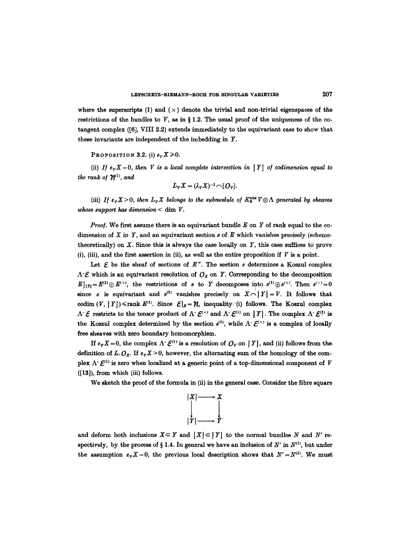where the superscripts (1) and ( $\times$ ) denote the trivial and non-trivial eigenspaces of the restrictions of the bundles to V, as in § 1.2. The usual proof of the uniqueness of the cotangent complex ([6], VIII 2.2) extends immediately to the equivariant case to show that these invariants are independent of the imbedding in Y.

PROPOSITION 3.2. (i)  $e_v X \ge 0$ .

(ii) *If*  $e_v X = 0$ , then *V* is a local complete intersection in |*Y*| of codimension equal to *the rank of*  $\mathcal{H}^{(1)}$ *, and* 

$$
L_{V}X=(\lambda_{V}X)^{-1}\cap [O_{V}].
$$

(iii) *If*  $e_v X > 0$ , then  $L_v X$  belongs to the submodule of  $K_0^{abs} V \otimes \Lambda$  generated by sheaves *whose support has dimension*  $<$  dim  $V$ .

*Proof.* We first assume there is an equivariant bundle E on Y of rank equal to the codimension of X in Y, and an equivariant section  $s$  of E which vanishes precisely (schemetheoretically) on  $X$ . Since this is always the case locally on  $Y$ , this case suffices to prove (i), (iii), and the first assertion in (ii), as well as the entire proposition if  $V$  is a point.

Let  $\mathcal E$  be the sheaf of sections of  $E^{\times}$ . The section s determines a Koszul complex  $\Lambda \cdot \mathcal{E}$  which is an equivariant resolution of  $O_x$  on Y. Corresponding to the decomposition  $E|_{1Y} = E^{(1)} \oplus E^{(1)}$ , the restrictions of s to Y decomposes into  $s^{(1)} \oplus s^{(1)}$ . Then  $s^{(1)} = 0$ since *s* is equivariant and  $s^{(1)}$  vanishes precisely on  $X \cap |Y| = V$ . It follows that codim  $(V, |Y|) \leq$ rank  $E^{(1)}$ . Since  $\mathcal{E}|_X = \mathcal{U}$ , inequality (i) follows. The Koszul complex  $\Lambda^* {\mathcal E}$  restricts to the tensor product of  $\Lambda^* {\mathcal E}^{(\times)}$  and  $\Lambda^* {\mathcal E}^{(1)}$  on  $|Y|$ . The complex  $\Lambda^* {\mathcal E}^{(1)}$  is the Koszul complex determined by the section  $s^{(1)}$ , while  $\Lambda \colon \mathcal{E}^{(\times)}$  is a complex of locally free sheaves with zero boundary homomorphism.

If  $e_V X = 0$ , the complex  $\Lambda \colon \mathcal{E}^{(1)}$  is a resolution of  $O_V$  on  $|Y|$ , and (ii) follows from the definition of L.  $O_X$ . If  $e_V X > 0$ , however, the alternating sum of the homology of the complex  $\Lambda' E^{(1)}$  is zero when localized at a generic point of a top-dimensional component of V ([13]), from which (iii) follows.

We sketch the proof of the formula in (ii) in the general ease. Consider the fibre square



and deform both inclusions  $X \subseteq Y$  and  $|X| \subseteq |Y|$  to the normal bundles N and N' respectively, by the process of § 1.4. In general we have an inclusion of  $N'$  in  $N^{(1)}$ , but under the assumption  $e_{\nu}X = 0$ , the previous local description shows that  $N' = N^{(1)}$ . We must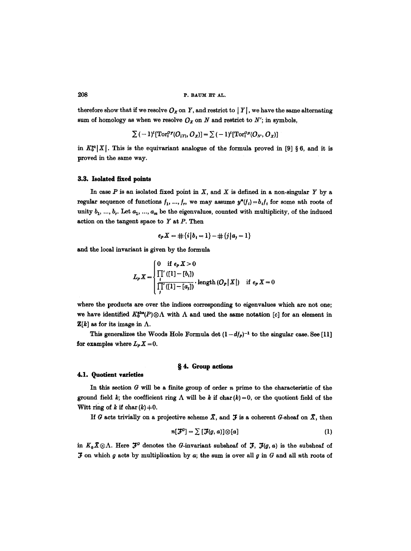therefore show that if we resolve  $O_x$  on Y, and restrict to  $|Y|$ , we have the same alternating sum of homology as when we resolve  $O_x$  on N and restrict to N'; in symbols,

$$
\sum (-1)^{i} [\mathrm{Tor}_{i}^{\mathcal{O}_{\mathcal{X}}}(\mathcal{O}_{|X|}, \mathcal{O}_{X})] = \sum (-1)^{i} [\mathrm{Tor}_{i}^{\mathcal{O}_{\mathcal{X}}}(\mathcal{O}_{X}, \mathcal{O}_{X})]
$$

in  $K_0^{\text{eq}}[X]$ . This is the equivariant analogue of the formula proved in [9] § 6, and it is proved in the same way.

#### **3.3. Isolated fixed points**

In case  $P$  is an isolated fixed point in  $X$ , and  $X$  is defined in a non-singular  $Y$  by a regular sequence of functions  $f_1, ..., f_r$ , we may assume  $y^*(f_i) = b_i f_i$  for some nth roots of unity  $b_1, ..., b_r$ . Let  $a_1, ..., a_m$  be the eigenvalues, counted with multiplicity, of the induced action on the tangent space to  $Y$  at  $P$ . Then

$$
e_{P}X = \#\{i|b_i = 1\} - \#\{j|a_j = 1\}
$$

and the local invariant is given by the formula

$$
L_{P} X = \begin{cases} 0 & \text{if } e_{P} X > 0 \\ \prod'_{i} ([1] - [b_{i}]) \\ \prod'_{i} ([1] - [a_{j}]) \end{cases} \cdot \text{length} (O_{P} | X|) \quad \text{if } e_{P} X = 0
$$

where the products are over the indices corresponding to eigenvalues which are not one; we have identified  $K_0^{\text{abs}}(P)\otimes\Lambda$  with  $\Lambda$  and used the same notation [c] for an element in  $\mathbf{Z}[k]$  as for its image in  $\Lambda$ .

This generalizes the Woods Hole Formula det  $(1-df<sub>P</sub>)^{-1}$  to the singular case. See [11] for examples where  $L_p X = 0$ .

## w 4. **Group actions**

#### **4.1. Quotient varieties**

In this section  $G$  will be a finite group of order  $n$  prime to the characteristic of the ground field k; the coefficient ring  $\Lambda$  will be k if char (k) = 0, or the quotient field of the Witt ring of k if char  $(k)$   $\neq$  0.

If G acts trivially on a projective scheme  $\overline{X}$ , and  $\overline{Y}$  is a coherent G-sheaf on  $\overline{X}$ , then

$$
n[\mathcal{F}^G] = \sum [\mathcal{F}(g, a)] \otimes [a] \tag{1}
$$

in  $K_0\overline{X}\otimes\Lambda$ . Here  $\mathfrak{F}^G$  denotes the G-invariant subsheaf of  $\mathfrak{F}$ ,  $\mathfrak{F}(g, a)$  is the subsheaf of **J** on which g acts by multiplication by  $a$ ; the sum is over all  $g$  in  $G$  and all nth roots of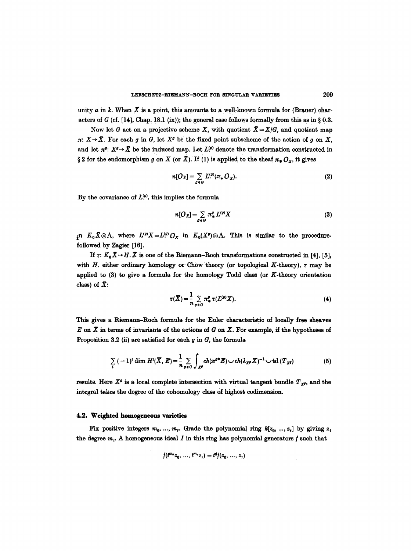unity a in k. When  $\bar{X}$  is a point, this amounts to a well-known formula for (Brauer) characters of G (cf. [14], Chap. 18.1 (ix)); the general case follows formally from this as in § 0.3.

Now let G act on a projective scheme X, with quotient  $\bar{X} = X/G$ , and quotient map  $\pi: X \to \overline{X}$ . For each g in G, let  $X^g$  be the fixed point subscheme of the action of g on X, and let  $\pi^g$ :  $X^g \to \bar{X}$  be the induced map. Let  $L^{(g)}$  denote the transformation constructed in § 2 for the endomorphism g on X (or  $\bar{X}$ ). If (1) is applied to the sheaf  $\pi_* \mathcal{O}_X$ , it gives

$$
n[O_{\overline{X}}] = \sum_{\varrho \in G} L^{(\varrho)}(\pi_* O_X). \tag{2}
$$

By the covariance of  $L^{(g)}$ , this implies the formula

$$
n[O_{\bar{X}}] = \sum_{g \in G} \pi^g_* L^{(g)} X \tag{3}
$$

in  $K_0X\otimes\Lambda$ , where  $L^{(g)}X=L^{(g)}O_X$  in  $K_0(X^g)\otimes\Lambda$ . This is similar to the procedurefollowed by Zagier [16].

If  $\tau: K_0\overline{X} \to H\overline{X}$  is one of the Riemann-Roch transformations constructed in [4], [5], with H. either ordinary homology or Chow theory (or topological K-theory),  $\tau$  may be applied to  $(3)$  to give a formula for the homology Todd class (or  $K$ -theory orientation class) of  $\overline{X}$ :

$$
\tau(\overline{X}) = \frac{1}{n} \sum_{g \in G} \pi^g_* \tau(L^{(g)} X). \tag{4}
$$

This gives a Riemann-Roch formula for the Euler characteristic of locally free sheaves E on  $\overline{X}$  in terms of invariants of the actions of G on X. For example, if the hypotheses of Proposition 3.2 (ii) are satisfied for each  $g$  in  $G$ , the formula

$$
\sum_{i} (-1)^{i} \dim H^{i}(\overline{X}, E) = \frac{1}{n} \sum_{g \in G} \int_{X^{g}} ch(\pi^{g*} E) \cup ch(\lambda_{X^{g}} X)^{-1} \cup td(T_{X^{g}})
$$
(5)

results. Here  $X^{\rho}$  is a local complete intersection with virtual tangent bundle  $T_{X^{\rho}}$ , and the integral takes the degree of the cohomology class of highest codimension.

#### 4.2. Weighted homogeneous varieties

Fix positive integers  $m_0, ..., m_r$ . Grade the polynomial ring  $k[z_0, ..., z_r]$  by giving  $z_i$ the degree  $m_i$ . A homogeneous ideal I in this ring has polynomial generators f such that

$$
f(t^{m_0}z_0, ..., t^{m_r}z_r) = t^d f(z_0, ..., z_r)
$$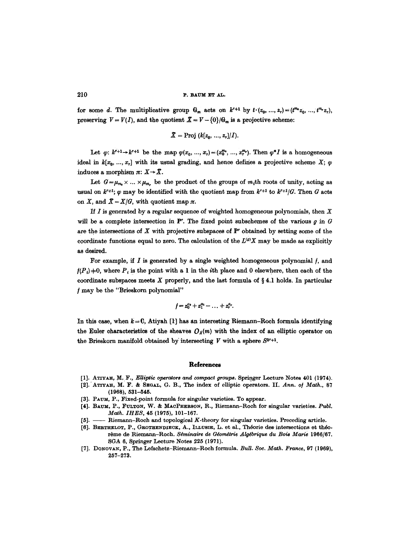for some d. The multiplicative group  $G_m$  acts on  $k^{r+1}$  by  $t \cdot (z_0, ..., z_r) = (t^{m_0}z_0, ..., t^{m_r}z_r)$ , preserving  $V=V(I)$ , and the quotient  $\bar{X}=V-\{0\}/G_m$  is a projective scheme:

$$
X = \text{Proj }(k[z_0, ..., z_r]/I).
$$

Let  $\varphi: k^{r+1} \to k^{r+1}$  be the map  $\varphi(x_0, ..., x_r) = (x_0^{m_0}, ..., x_r^{m_r})$ . Then  $\varphi^* I$  is a homogeneous ideal in  $k[x_0, ..., x_r]$  with its usual grading, and hence defines a projective scheme X;  $\varphi$ induces a morphism  $\pi: X \rightarrow \overline{X}$ .

Let  $G=\mu_{m_0}\times \ldots \times \mu_{m_r}$  be the product of the groups of  $m_i$ th roots of unity, acting as usual on  $k^{r+1}$ ;  $\varphi$  may be identified with the quotient map from  $k^{r+1}$  to  $k^{r+1}/G$ . Then G acts on X, and  $\bar{X} = X/G$ , with quotient map  $\pi$ .

If  $I$  is generated by a regular sequence of weighted homogeneous polynomials, then  $X$ will be a complete intersection in  $P<sup>r</sup>$ . The fixed point subschemes of the various g in G are the intersections of  $X$  with projective subspaces of  $P<sup>r</sup>$  obtained by setting some of the coordinate functions equal to zero. The calculation of the  $L^{(g)}X$  may be made as explicitly as desired.

For example, if  $I$  is generated by a single weighted homogeneous polynomial  $f$ , and  $f(P_i) \neq 0$ , where  $P_i$  is the point with a 1 in the *i*th place and 0 elsewhere, then each of the coordinate subspaces meets  $X$  properly, and the last formula of  $\S 4.1$  holds. In particular may be the "Brieskorn polynomial"

$$
f=z_0^{a_0}+z_1^{a_1}-\ldots+z_r^{a_r}.
$$

In this case, when  $k = 0$ , Atiyah [1] has an interesting Riemann-Roch formula identifying the Euler characteristics of the sheaves  $O_{\mathcal{X}}(m)$  with the index of an elliptic operator on the Brieskorn manifold obtained by intersecting V with a sphere  $S^{2r+1}$ .

#### **References**

- [1]. ATIYAH, M. F., Elliptic operators and compact groups. Springer Lecture Notes 401 (1974).
- [2]. ATIYAH, M. F. & SEGAL, G. B., The index of elliptic operators. II. Ann. of Math., 87 **(1968),** 531-545.
- [3]. PAUM, P., Fixed-point formula for singular varieties. To appear.
- [4]. BAuM, P., FULTON, W. & MAcPHERSON, R., Riemann-Roch for singular varieties. *Publ. Math. IHES,* 45 (1975), 101-167.
- -- Riemann-Roch and topological K-theory for singular varieties. Preceding article.
- [6]. BERTHELOT, P., GROTHENDIECK, A., ILLUSIE, L. et al., Théorie des intersections et théorème de Riemann-Roch. Séminaire de Géométrie Algébrique du Bois Marie 1966/67. SGA 6, Springer Lecture Notes 225 (1971).
- [7]. DONOVAN, P., The Lefschetz-Riemann-Roch formula. *Bull. Soc. Math. France*, 97 (1969), 257-273.